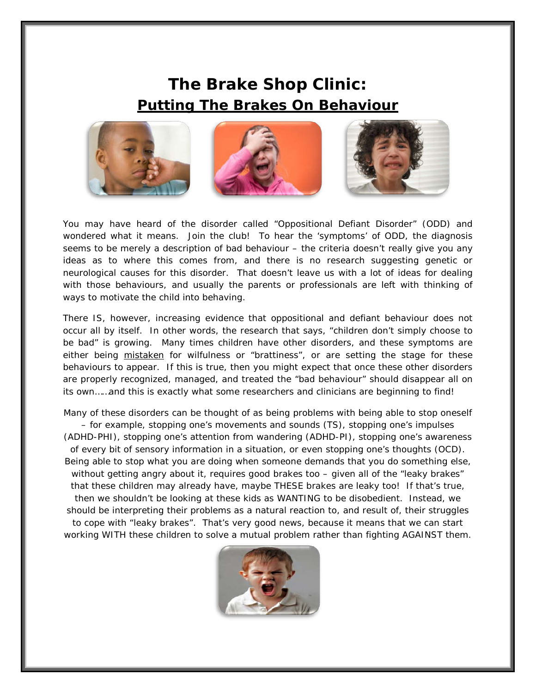## **The Brake Shop Clinic: Putting The Brakes On Behaviour**



You may have heard of the disorder called "Oppositional Defiant Disorder" (ODD) and wondered what it means. Join the club! To hear the 'symptoms' of ODD, the diagnosis seems to be merely a description of bad behaviour – the criteria doesn't really give you any ideas as to where this comes from, and there is no research suggesting genetic or neurological causes for this disorder. That doesn't leave us with a lot of ideas for dealing with those behaviours, and usually the parents or professionals are left with thinking of ways to motivate the child into behaving.

There IS, however, increasing evidence that oppositional and defiant behaviour does not occur all by itself. In other words, the research that says, "children don't simply choose to be bad" is growing. Many times children have other disorders, and these symptoms are either being mistaken for wilfulness or "brattiness", or are setting the stage for these behaviours to appear. If this is true, then you might expect that once these other disorders are properly recognized, managed, and treated the "bad behaviour" should disappear all on its own……and this is exactly what some researchers and clinicians are beginning to find!

Many of these disorders can be thought of as being problems with being able to stop oneself – for example, stopping one's movements and sounds (TS), stopping one's impulses (ADHD-PHI), stopping one's attention from wandering (ADHD-PI), stopping one's awareness of every bit of sensory information in a situation, or even stopping one's thoughts (OCD). Being able to stop what you are doing when someone demands that you do something else, without getting angry about it, requires good brakes too – given all of the "leaky brakes" that these children may already have, maybe THESE brakes are leaky too! If that's true, then we shouldn't be looking at these kids as WANTING to be disobedient. Instead, we should be interpreting their problems as a natural reaction to, and result of, their struggles to cope with "leaky brakes". That's very good news, because it means that we can start working WITH these children to solve a mutual problem rather than fighting AGAINST them.

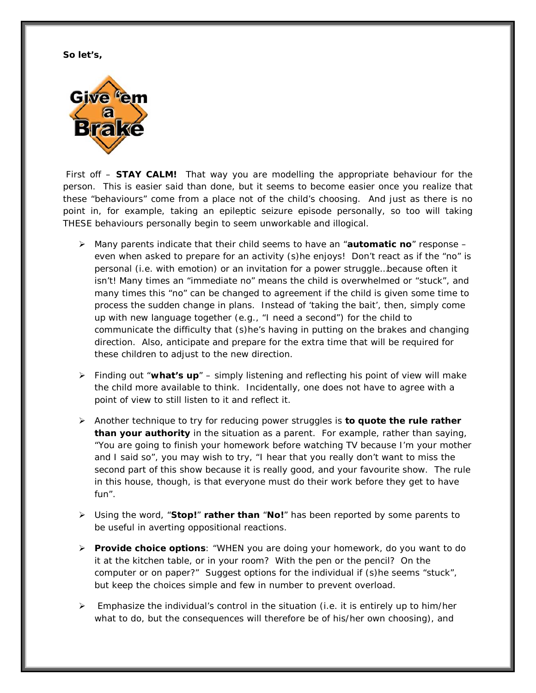**So let's,**



First off – **STAY CALM!** That way you are modelling the appropriate behaviour for the person. This is easier said than done, but it seems to become easier once you realize that these "behaviours" come from a place not of the child's choosing. And just as there is no point in, for example, taking an epileptic seizure episode personally, so too will taking THESE behaviours personally begin to seem unworkable and illogical.

- Many parents indicate that their child seems to have an "**automatic no**" response even when asked to prepare for an activity (s)he enjoys! Don't react as if the "no" is personal (i.e. with emotion) or an invitation for a power struggle…because often it isn't! Many times an "immediate no" means the child is overwhelmed or "stuck", and many times this "no" can be changed to agreement if the child is given some time to process the sudden change in plans. Instead of 'taking the bait', then, simply come up with new language together (e.g., "I need a second") for the child to communicate the difficulty that (s)he's having in putting on the brakes and changing direction. Also, anticipate and prepare for the extra time that will be required for these children to adjust to the new direction.
- Finding out "**what's up**" simply listening and reflecting his point of view will make the child more available to think. Incidentally, one does not have to agree with a point of view to still listen to it and reflect it.
- Another technique to try for reducing power struggles is **to quote the rule rather than your authority** in the situation as a parent. For example, rather than saying, "You are going to finish your homework before watching TV because I'm your mother and I said so", you may wish to try, "I hear that you really don't want to miss the second part of this show because it is really good, and your favourite show. The rule in this house, though, is that everyone must do their work before they get to have fun".
- Using the word, "**Stop!**" **rather than** "**No!**" has been reported by some parents to be useful in averting oppositional reactions.
- **Provide choice options**: "WHEN you are doing your homework, do you want to do it at the kitchen table, or in your room? With the pen or the pencil? On the computer or on paper?" Suggest options for the individual if (s)he seems "stuck", but keep the choices simple and few in number to prevent overload.
- Emphasize the individual's control in the situation (i.e. it is entirely up to him/her what to do, but the consequences will therefore be of his/her own choosing), and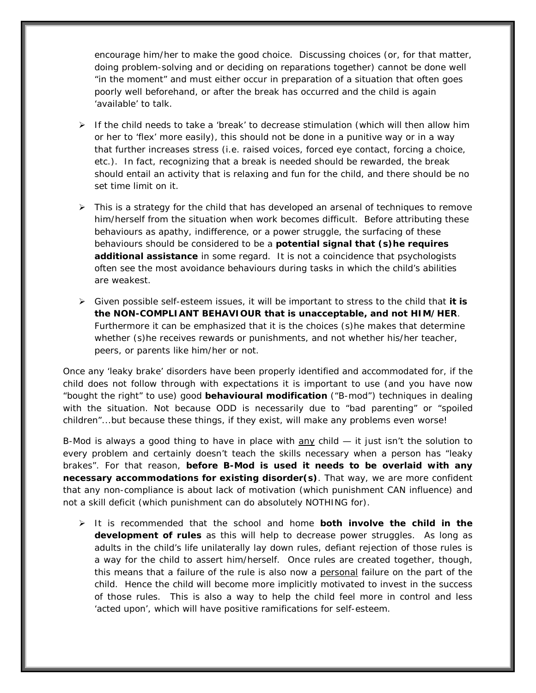encourage him/her to make the good choice. Discussing choices (or, for that matter, doing problem-solving and or deciding on reparations together) cannot be done well "in the moment" and must either occur in preparation of a situation that often goes poorly well beforehand, or after the break has occurred and the child is again 'available' to talk.

- $\triangleright$  If the child needs to take a 'break' to decrease stimulation (which will then allow him or her to 'flex' more easily), this should not be done in a punitive way or in a way that further increases stress (i.e. raised voices, forced eye contact, forcing a choice, etc.). In fact, recognizing that a break is needed should be rewarded, the break should entail an activity that is relaxing and fun for the child, and there should be no set time limit on it.
- $\triangleright$  This is a strategy for the child that has developed an arsenal of techniques to remove him/herself from the situation when work becomes difficult. Before attributing these behaviours as apathy, indifference, or a power struggle, the surfacing of these behaviours should be considered to be a **potential signal that (s)he requires additional assistance** in some regard. It is not a coincidence that psychologists often see the most avoidance behaviours during tasks in which the child's abilities are weakest.
- Given possible self-esteem issues, it will be important to stress to the child that **it is the NON-COMPLIANT BEHAVIOUR that is unacceptable, and not HIM/HER**. Furthermore it can be emphasized that it is the choices (s)he makes that determine whether (s)he receives rewards or punishments, and not whether his/her teacher, peers, or parents like him/her or not.

Once any 'leaky brake' disorders have been properly identified and accommodated for, if the child does not follow through with expectations it is important to use (and you have now "bought the right" to use) good **behavioural modification** ("B-mod") techniques in dealing with the situation. Not because ODD is necessarily due to "bad parenting" or "spoiled children"...but because these things, if they exist, will make any problems even worse!

B-Mod is always a good thing to have in place with any child — it just isn't the solution to every problem and certainly doesn't teach the skills necessary when a person has "leaky brakes". For that reason, **before B-Mod is used it needs to be overlaid with any necessary accommodations for existing disorder(s)**. That way, we are more confident that any non-compliance is about lack of motivation (which punishment CAN influence) and not a skill deficit (which punishment can do absolutely NOTHING for).

 It is recommended that the school and home **both involve the child in the development of rules** as this will help to decrease power struggles. As long as adults in the child's life unilaterally lay down rules, defiant rejection of those rules is a way for the child to assert him/herself. Once rules are created together, though, this means that a failure of the rule is also now a personal failure on the part of the child. Hence the child will become more implicitly motivated to invest in the success of those rules. This is also a way to help the child feel more in control and less 'acted upon', which will have positive ramifications for self-esteem.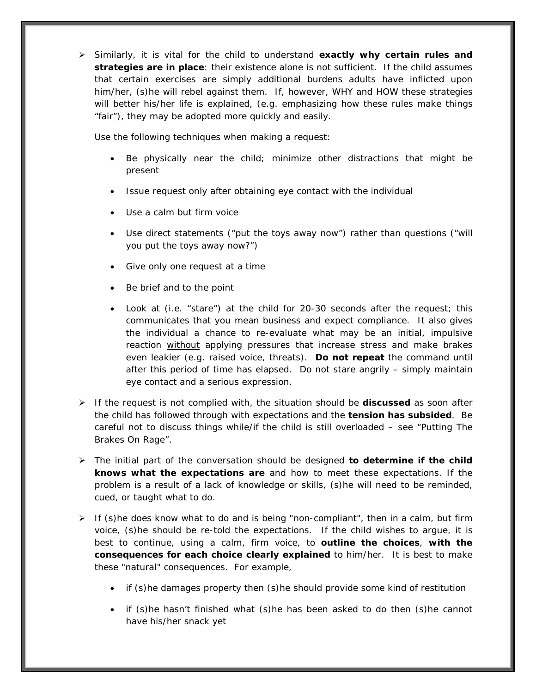Similarly, it is vital for the child to understand **exactly why certain rules and strategies are in place**: their existence alone is not sufficient. If the child assumes that certain exercises are simply additional burdens adults have inflicted upon him/her, (s)he will rebel against them. If, however, WHY and HOW these strategies will better his/her life is explained, (e.g. emphasizing how these rules make things "fair"), they may be adopted more quickly and easily.

Use the following techniques when making a request:

- Be physically near the child; minimize other distractions that might be present
- Issue request only after obtaining eye contact with the individual
- Use a calm but firm voice
- Use direct statements ("put the toys away now") rather than questions ("will you put the toys away now?")
- Give only one request at a time
- Be brief and to the point
- Look at (i.e. "stare") at the child for 20-30 seconds after the request; this communicates that you mean business and expect compliance. It also gives the individual a chance to re-evaluate what may be an initial, impulsive reaction without applying pressures that increase stress and make brakes even leakier (e.g. raised voice, threats). **Do not repeat** the command until after this period of time has elapsed. Do not stare angrily – simply maintain eye contact and a serious expression.
- $\triangleright$  If the request is not complied with, the situation should be **discussed** as soon after the child has followed through with expectations and the **tension has subsided**. Be careful not to discuss things while/if the child is still overloaded – see "Putting The Brakes On Rage".
- The initial part of the conversation should be designed **to determine if the child knows what the expectations are** and how to meet these expectations. If the problem is a result of a lack of knowledge or skills, (s)he will need to be reminded, cued, or taught what to do.
- $\triangleright$  If (s)he does know what to do and is being "non-compliant", then in a calm, but firm voice, (s)he should be re-told the expectations. If the child wishes to argue, it is best to continue, using a calm, firm voice, to **outline the choices**, **with the consequences for each choice clearly explained** to him/her. It is best to make these "natural" consequences. For example,
	- if (s)he damages property then (s)he should provide some kind of restitution
	- if (s)he hasn't finished what (s)he has been asked to do then (s)he cannot have his/her snack yet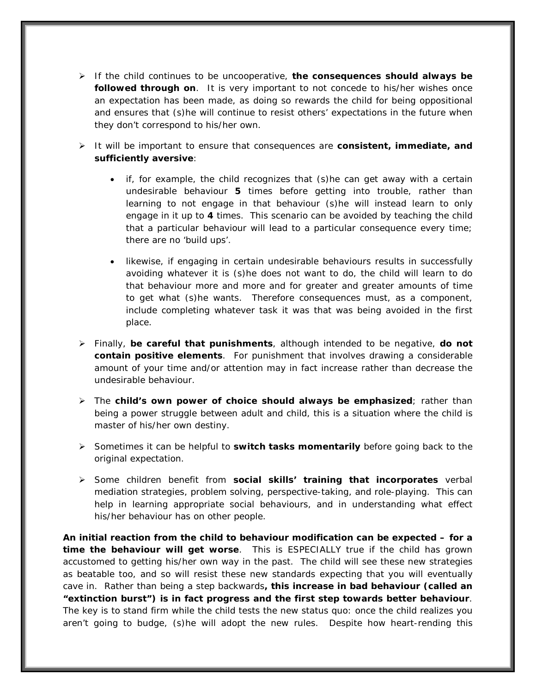- If the child continues to be uncooperative, **the consequences should always be followed through on**. It is very important to not concede to his/her wishes once an expectation has been made, as doing so rewards the child for being oppositional and ensures that (s)he will continue to resist others' expectations in the future when they don't correspond to his/her own.
- It will be important to ensure that consequences are **consistent, immediate, and sufficiently aversive**:
	- if, for example, the child recognizes that (s)he can get away with a certain undesirable behaviour **5** times before getting into trouble, rather than learning to not engage in that behaviour (s)he will instead learn to only engage in it up to **4** times. This scenario can be avoided by teaching the child that a particular behaviour will lead to a particular consequence every time; there are no 'build ups'.
	- likewise, if engaging in certain undesirable behaviours results in successfully avoiding whatever it is (s)he does not want to do, the child will learn to do that behaviour more and more and for greater and greater amounts of time to get what (s)he wants. Therefore consequences must, as a component, include completing whatever task it was that was being avoided in the first place.
- Finally, **be careful that punishments**, although intended to be negative, **do not contain positive elements**. For punishment that involves drawing a considerable amount of your time and/or attention may in fact increase rather than decrease the undesirable behaviour.
- The **child's own power of choice should always be emphasized**; rather than being a power struggle between adult and child, this is a situation where the child is master of his/her own destiny.
- Sometimes it can be helpful to **switch tasks momentarily** before going back to the original expectation.
- Some children benefit from **social skills' training that incorporates** verbal mediation strategies, problem solving, perspective-taking, and role-playing. This can help in learning appropriate social behaviours, and in understanding what effect his/her behaviour has on other people.

**An initial reaction from the child to behaviour modification can be expected – for a time the behaviour will get worse**. This is ESPECIALLY true if the child has grown accustomed to getting his/her own way in the past. The child will see these new strategies as beatable too, and so will resist these new standards expecting that you will eventually cave in. Rather than being a step backwards**, this increase in bad behaviour (called an "extinction burst") is in fact progress and the first step towards better behaviour**. The key is to stand firm while the child tests the new status quo: once the child realizes you aren't going to budge, (s)he will adopt the new rules. Despite how heart-rending this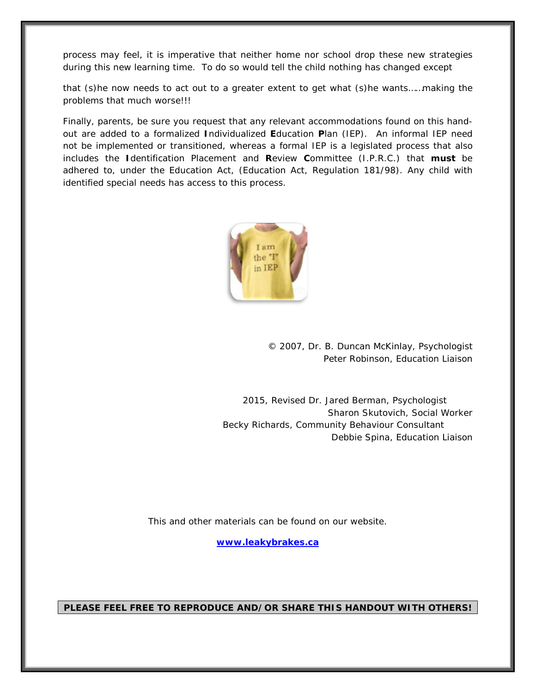process may feel, it is imperative that neither home nor school drop these new strategies during this new learning time. To do so would tell the child nothing has changed except

that (s)he now needs to act out to a greater extent to get what (s)he wants……making the problems that much worse!!!

Finally, parents, be sure you request that any relevant accommodations found on this handout are added to a formalized **I**ndividualized **E**ducation **P**lan (IEP). An informal IEP need not be implemented or transitioned, whereas a formal IEP is a legislated process that also includes the **I**dentification Placement and **R**eview **C**ommittee (I.P.R.C.) that **must** be adhered to, under the Education Act, (Education Act, Regulation 181/98). Any child with identified special needs has access to this process.



© 2007, Dr. B. Duncan McKinlay, Psychologist Peter Robinson, Education Liaison

 2015, Revised Dr. Jared Berman, Psychologist Sharon Skutovich, Social Worker Becky Richards, Community Behaviour Consultant Debbie Spina, Education Liaison

This and other materials can be found on our website.

**[www.leakybrakes.ca](http://www.leakybrakes.ca/)**

**PLEASE FEEL FREE TO REPRODUCE AND/OR SHARE THIS HANDOUT WITH OTHERS!**